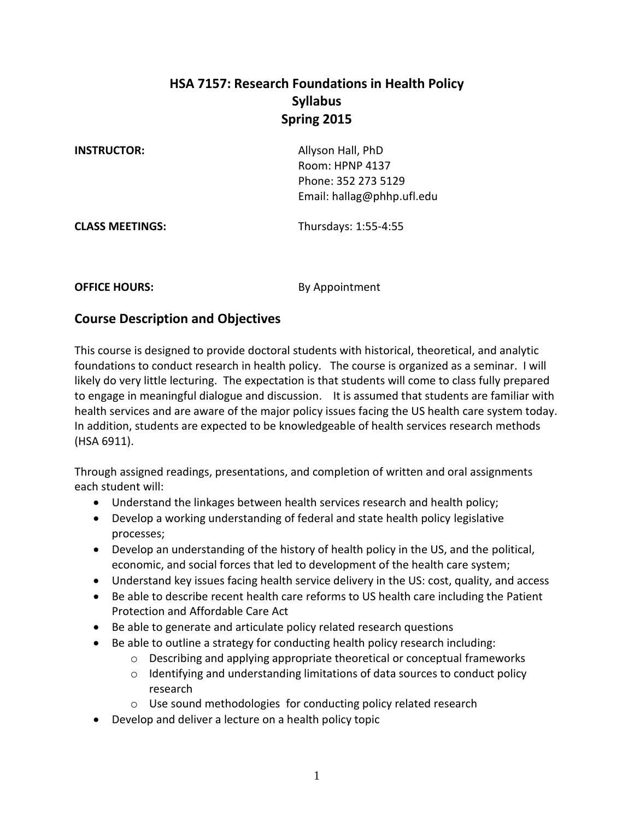# **HSA 7157: Research Foundations in Health Policy Syllabus Spring 2015**

**INSTRUCTOR:** Allyson Hall, PhD Room: HPNP 4137 Phone: 352 273 5129 Email: hallag@phhp.ufl.edu

**CLASS MEETINGS:** Thursdays: 1:55-4:55

**OFFICE HOURS:** By Appointment

# **Course Description and Objectives**

This course is designed to provide doctoral students with historical, theoretical, and analytic foundations to conduct research in health policy. The course is organized as a seminar. I will likely do very little lecturing. The expectation is that students will come to class fully prepared to engage in meaningful dialogue and discussion. It is assumed that students are familiar with health services and are aware of the major policy issues facing the US health care system today. In addition, students are expected to be knowledgeable of health services research methods (HSA 6911).

Through assigned readings, presentations, and completion of written and oral assignments each student will:

- Understand the linkages between health services research and health policy;
- Develop a working understanding of federal and state health policy legislative processes;
- Develop an understanding of the history of health policy in the US, and the political, economic, and social forces that led to development of the health care system;
- Understand key issues facing health service delivery in the US: cost, quality, and access
- Be able to describe recent health care reforms to US health care including the Patient Protection and Affordable Care Act
- Be able to generate and articulate policy related research questions
- Be able to outline a strategy for conducting health policy research including:
	- $\circ$  Describing and applying appropriate theoretical or conceptual frameworks
	- o Identifying and understanding limitations of data sources to conduct policy research
	- o Use sound methodologies for conducting policy related research
- Develop and deliver a lecture on a health policy topic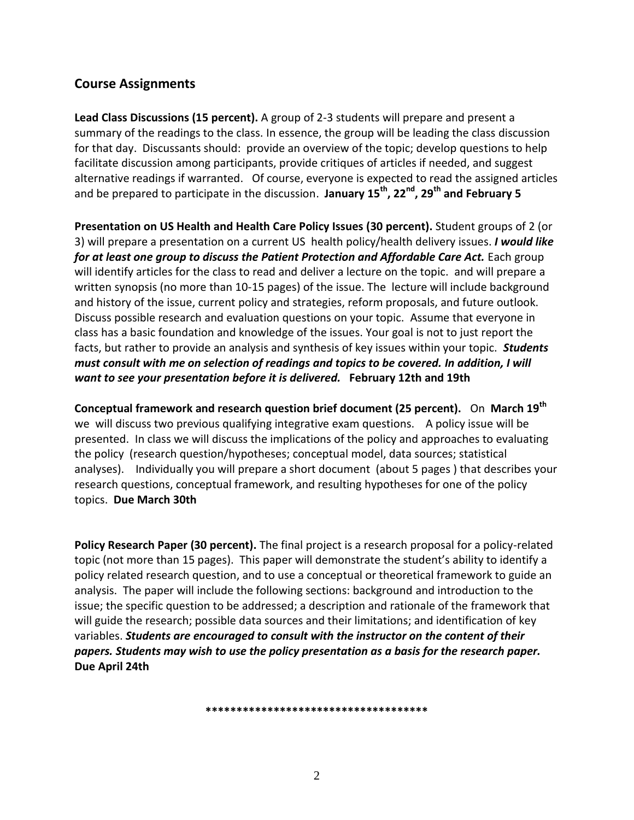# **Course Assignments**

**Lead Class Discussions (15 percent).** A group of 2-3 students will prepare and present a summary of the readings to the class. In essence, the group will be leading the class discussion for that day. Discussants should: provide an overview of the topic; develop questions to help facilitate discussion among participants, provide critiques of articles if needed, and suggest alternative readings if warranted. Of course, everyone is expected to read the assigned articles and be prepared to participate in the discussion. **January 15th, 22nd, 29th and February 5**

**Presentation on US Health and Health Care Policy Issues (30 percent).** Student groups of 2 (or 3) will prepare a presentation on a current US health policy/health delivery issues. *I would like for at least one group to discuss the Patient Protection and Affordable Care Act.* Each group will identify articles for the class to read and deliver a lecture on the topic. and will prepare a written synopsis (no more than 10-15 pages) of the issue. The lecture will include background and history of the issue, current policy and strategies, reform proposals, and future outlook. Discuss possible research and evaluation questions on your topic. Assume that everyone in class has a basic foundation and knowledge of the issues. Your goal is not to just report the facts, but rather to provide an analysis and synthesis of key issues within your topic. *Students must consult with me on selection of readings and topics to be covered. In addition, I will want to see your presentation before it is delivered.* **February 12th and 19th**

**Conceptual framework and research question brief document (25 percent).** On **March 19th** we will discuss two previous qualifying integrative exam questions. A policy issue will be presented. In class we will discuss the implications of the policy and approaches to evaluating the policy (research question/hypotheses; conceptual model, data sources; statistical analyses). Individually you will prepare a short document (about 5 pages ) that describes your research questions, conceptual framework, and resulting hypotheses for one of the policy topics. **Due March 30th**

**Policy Research Paper (30 percent).** The final project is a research proposal for a policy-related topic (not more than 15 pages). This paper will demonstrate the student's ability to identify a policy related research question, and to use a conceptual or theoretical framework to guide an analysis. The paper will include the following sections: background and introduction to the issue; the specific question to be addressed; a description and rationale of the framework that will guide the research; possible data sources and their limitations; and identification of key variables. *Students are encouraged to consult with the instructor on the content of their papers. Students may wish to use the policy presentation as a basis for the research paper.* **Due April 24th**

**\*\*\*\*\*\*\*\*\*\*\*\*\*\*\*\*\*\*\*\*\*\*\*\*\*\*\*\*\*\*\*\*\*\*\*\***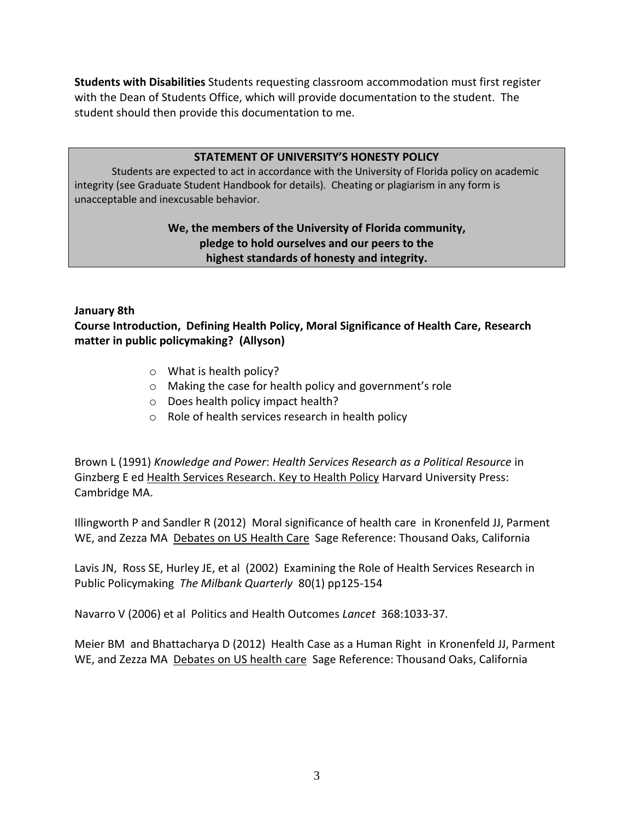**Students with Disabilities** Students requesting classroom accommodation must first register with the Dean of Students Office, which will provide documentation to the student. The student should then provide this documentation to me.

#### **STATEMENT OF UNIVERSITY'S HONESTY POLICY**

Students are expected to act in accordance with the University of Florida policy on academic integrity (see Graduate Student Handbook for details). Cheating or plagiarism in any form is unacceptable and inexcusable behavior.

### **We, the members of the University of Florida community, pledge to hold ourselves and our peers to the highest standards of honesty and integrity.**

#### **January 8th**

**Course Introduction, Defining Health Policy, Moral Significance of Health Care, Research matter in public policymaking? (Allyson)**

- o What is health policy?
- o Making the case for health policy and government's role
- o Does health policy impact health?
- o Role of health services research in health policy

Brown L (1991) *Knowledge and Power*: *Health Services Research as a Political Resource* in Ginzberg E ed Health Services Research. Key to Health Policy Harvard University Press: Cambridge MA.

Illingworth P and Sandler R (2012) Moral significance of health care in Kronenfeld JJ, Parment WE, and Zezza MA Debates on US Health Care Sage Reference: Thousand Oaks, California

Lavis JN, Ross SE, Hurley JE, et al (2002) Examining the Role of Health Services Research in Public Policymaking *The Milbank Quarterly* 80(1) pp125-154

Navarro V (2006) et al Politics and Health Outcomes *Lancet* 368:1033-37.

Meier BM and Bhattacharya D (2012) Health Case as a Human Right in Kronenfeld JJ, Parment WE, and Zezza MA Debates on US health care Sage Reference: Thousand Oaks, California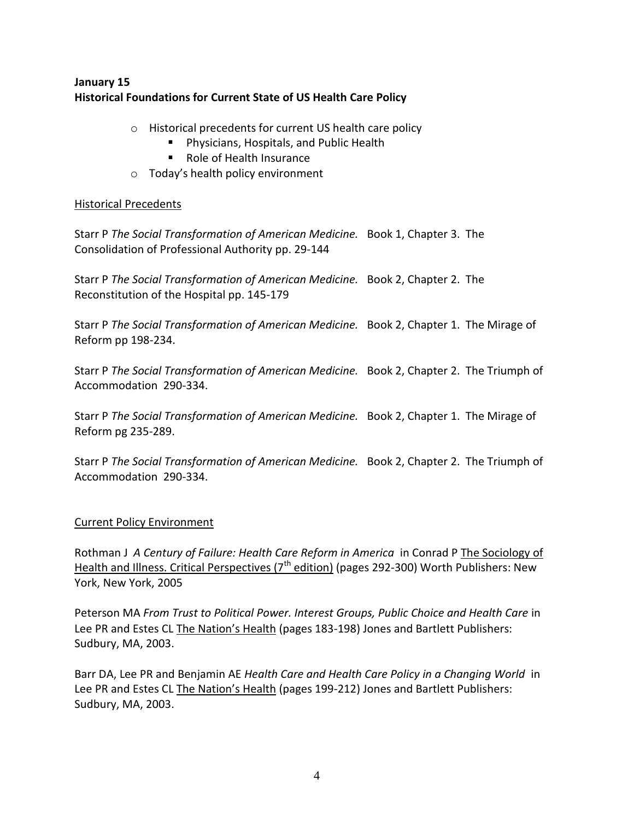# **January 15 Historical Foundations for Current State of US Health Care Policy**

- o Historical precedents for current US health care policy
	- **Physicians, Hospitals, and Public Health**
	- Role of Health Insurance
- o Today's health policy environment

#### Historical Precedents

Starr P *The Social Transformation of American Medicine.* Book 1, Chapter 3. The Consolidation of Professional Authority pp. 29-144

Starr P *The Social Transformation of American Medicine.* Book 2, Chapter 2. The Reconstitution of the Hospital pp. 145-179

Starr P *The Social Transformation of American Medicine.* Book 2, Chapter 1. The Mirage of Reform pp 198-234.

Starr P *The Social Transformation of American Medicine.* Book 2, Chapter 2. The Triumph of Accommodation 290-334.

Starr P *The Social Transformation of American Medicine.* Book 2, Chapter 1. The Mirage of Reform pg 235-289.

Starr P *The Social Transformation of American Medicine.* Book 2, Chapter 2. The Triumph of Accommodation 290-334.

### Current Policy Environment

Rothman J *A Century of Failure: Health Care Reform in America* in Conrad P The Sociology of Health and Illness. Critical Perspectives ( $7<sup>th</sup>$  edition) (pages 292-300) Worth Publishers: New York, New York, 2005

Peterson MA *From Trust to Political Power. Interest Groups, Public Choice and Health Care* in Lee PR and Estes CL The Nation's Health (pages 183-198) Jones and Bartlett Publishers: Sudbury, MA, 2003.

Barr DA, Lee PR and Benjamin AE *Health Care and Health Care Policy in a Changing World* in Lee PR and Estes CL The Nation's Health (pages 199-212) Jones and Bartlett Publishers: Sudbury, MA, 2003.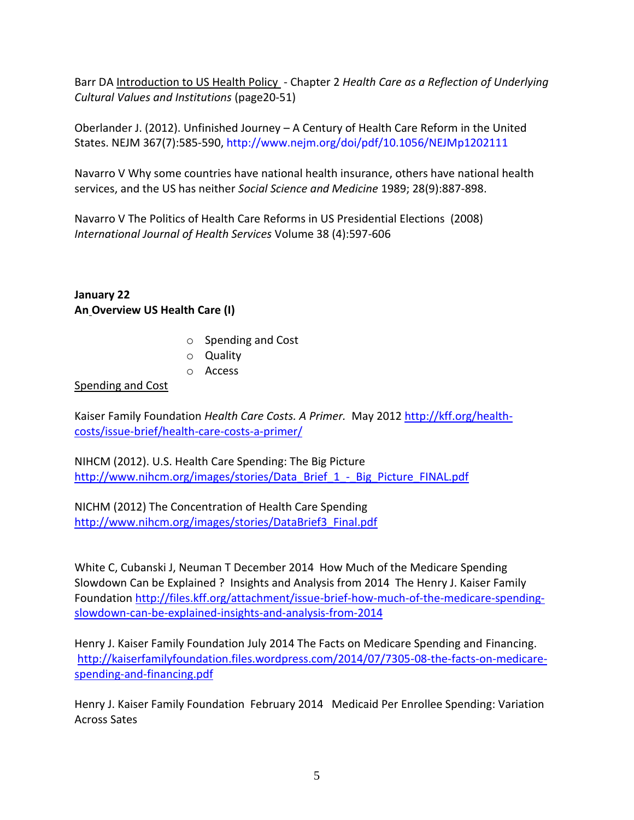Barr DA Introduction to US Health Policy - Chapter 2 *Health Care as a Reflection of Underlying Cultural Values and Institutions* (page20-51)

Oberlander J. (2012). Unfinished Journey – A Century of Health Care Reform in the United States. NEJM 367(7):585-590, http://www.nejm.org/doi/pdf/10.1056/NEJMp1202111

Navarro V Why some countries have national health insurance, others have national health services, and the US has neither *Social Science and Medicine* 1989; 28(9):887-898.

Navarro V The Politics of Health Care Reforms in US Presidential Elections (2008) *International Journal of Health Services* Volume 38 (4):597-606

**January 22 An Overview US Health Care (I)**

- o Spending and Cost
- o Quality
- o Access

### Spending and Cost

Kaiser Family Foundation *Health Care Costs. A Primer.* May 201[2 http://kff.org/health](http://kff.org/health-costs/issue-brief/health-care-costs-a-primer/)[costs/issue-brief/health-care-costs-a-primer/](http://kff.org/health-costs/issue-brief/health-care-costs-a-primer/)

NIHCM (2012). U.S. Health Care Spending: The Big Picture [http://www.nihcm.org/images/stories/Data\\_Brief\\_1\\_-\\_Big\\_Picture\\_FINAL.pdf](http://www.nihcm.org/images/stories/Data_Brief_1_-_Big_Picture_FINAL.pdf)

NICHM (2012) The Concentration of Health Care Spending [http://www.nihcm.org/images/stories/DataBrief3\\_Final.pdf](http://www.nihcm.org/images/stories/DataBrief3_Final.pdf)

White C, Cubanski J, Neuman T December 2014 How Much of the Medicare Spending Slowdown Can be Explained ? Insights and Analysis from 2014 The Henry J. Kaiser Family Foundation [http://files.kff.org/attachment/issue-brief-how-much-of-the-medicare-spending](http://files.kff.org/attachment/issue-brief-how-much-of-the-medicare-spending-slowdown-can-be-explained-insights-and-analysis-from-2014)[slowdown-can-be-explained-insights-and-analysis-from-2014](http://files.kff.org/attachment/issue-brief-how-much-of-the-medicare-spending-slowdown-can-be-explained-insights-and-analysis-from-2014)

Henry J. Kaiser Family Foundation July 2014 The Facts on Medicare Spending and Financing. [http://kaiserfamilyfoundation.files.wordpress.com/2014/07/7305-08-the-facts-on-medicare](http://kaiserfamilyfoundation.files.wordpress.com/2014/07/7305-08-the-facts-on-medicare-spending-and-financing.pdf)[spending-and-financing.pdf](http://kaiserfamilyfoundation.files.wordpress.com/2014/07/7305-08-the-facts-on-medicare-spending-and-financing.pdf)

Henry J. Kaiser Family Foundation February 2014 Medicaid Per Enrollee Spending: Variation Across Sates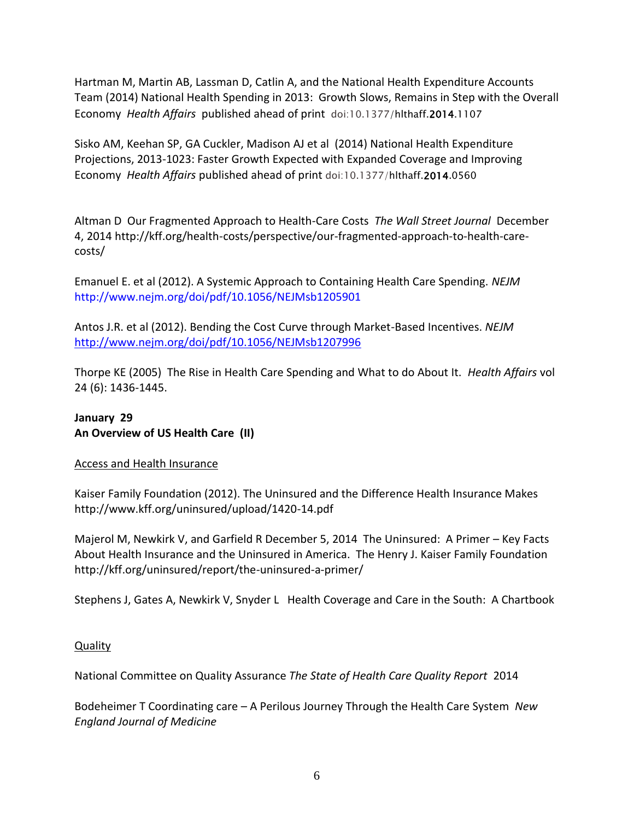Hartman M, Martin AB, Lassman D, Catlin A, and the National Health Expenditure Accounts Team (2014) National Health Spending in 2013: Growth Slows, Remains in Step with the Overall Economy *Health Affairs* published ahead of print doi:10.1377/hlthaff.2014.1107

Sisko AM, Keehan SP, GA Cuckler, Madison AJ et al (2014) National Health Expenditure Projections, 2013-1023: Faster Growth Expected with Expanded Coverage and Improving Economy *Health Affairs* published ahead of print doi:10.1377/hlthaff.2014.0560

Altman D Our Fragmented Approach to Health-Care Costs *The Wall Street Journal* December 4, 2014 http://kff.org/health-costs/perspective/our-fragmented-approach-to-health-carecosts/

Emanuel E. et al (2012). A Systemic Approach to Containing Health Care Spending. *NEJM*  http://www.nejm.org/doi/pdf/10.1056/NEJMsb1205901

Antos J.R. et al (2012). Bending the Cost Curve through Market-Based Incentives. *NEJM*  <http://www.nejm.org/doi/pdf/10.1056/NEJMsb1207996>

Thorpe KE (2005) The Rise in Health Care Spending and What to do About It. *Health Affairs* vol 24 (6): 1436-1445.

# **January 29 An Overview of US Health Care (II)**

### Access and Health Insurance

Kaiser Family Foundation (2012). The Uninsured and the Difference Health Insurance Makes http://www.kff.org/uninsured/upload/1420-14.pdf

Majerol M, Newkirk V, and Garfield R December 5, 2014 The Uninsured: A Primer – Key Facts About Health Insurance and the Uninsured in America. The Henry J. Kaiser Family Foundation http://kff.org/uninsured/report/the-uninsured-a-primer/

Stephens J, Gates A, Newkirk V, Snyder L Health Coverage and Care in the South: A Chartbook

# **Quality**

National Committee on Quality Assurance *The State of Health Care Quality Report* 2014

Bodeheimer T Coordinating care – A Perilous Journey Through the Health Care System *New England Journal of Medicine*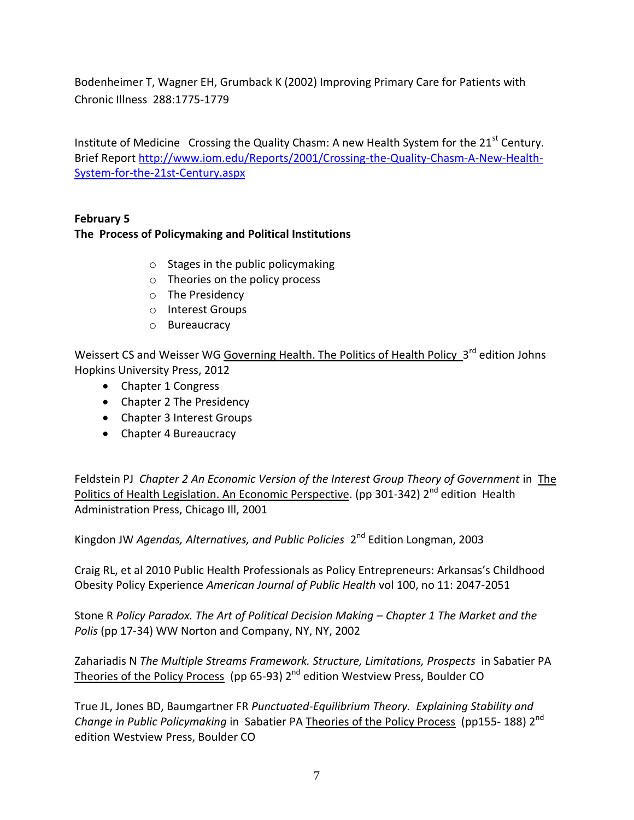Bodenheimer T, Wagner EH, Grumback K (2002) Improving Primary Care for Patients with Chronic Illness 288:1775-1779

Institute of Medicine Crossing the Quality Chasm: A new Health System for the  $21<sup>st</sup>$  Century. Brief Report [http://www.iom.edu/Reports/2001/Crossing-the-Quality-Chasm-A-New-Health-](http://www.iom.edu/Reports/2001/Crossing-the-Quality-Chasm-A-New-Health-System-for-the-21st-Century.aspx)[System-for-the-21st-Century.aspx](http://www.iom.edu/Reports/2001/Crossing-the-Quality-Chasm-A-New-Health-System-for-the-21st-Century.aspx)

# **February 5**

### **The Process of Policymaking and Political Institutions**

- $\circ$  Stages in the public policymaking
- o Theories on the policy process
- o The Presidency
- o Interest Groups
- o Bureaucracy

Weissert CS and Weisser WG Governing Health. The Politics of Health Policy 3<sup>rd</sup> edition Johns Hopkins University Press, 2012

- Chapter 1 Congress
- Chapter 2 The Presidency
- Chapter 3 Interest Groups
- Chapter 4 Bureaucracy

Feldstein PJ *Chapter 2 An Economic Version of the Interest Group Theory of Government* in The Politics of Health Legislation. An Economic Perspective. (pp 301-342) 2<sup>nd</sup> edition Health Administration Press, Chicago Ill, 2001

Kingdon JW *Agendas, Alternatives, and Public Policies* 2<sup>nd</sup> Edition Longman, 2003

Craig RL, et al 2010 Public Health Professionals as Policy Entrepreneurs: Arkansas's Childhood Obesity Policy Experience *American Journal of Public Health* vol 100, no 11: 2047-2051

Stone R *Policy Paradox. The Art of Political Decision Making – Chapter 1 The Market and the Polis* (pp 17-34) WW Norton and Company, NY, NY, 2002

Zahariadis N *The Multiple Streams Framework. Structure, Limitations, Prospects* in Sabatier PA Theories of the Policy Process (pp 65-93) 2<sup>nd</sup> edition Westview Press, Boulder CO

True JL, Jones BD, Baumgartner FR *Punctuated-Equilibrium Theory. Explaining Stability and*  Change in Public Policymaking in Sabatier PA Theories of the Policy Process (pp155-188) 2<sup>nd</sup> edition Westview Press, Boulder CO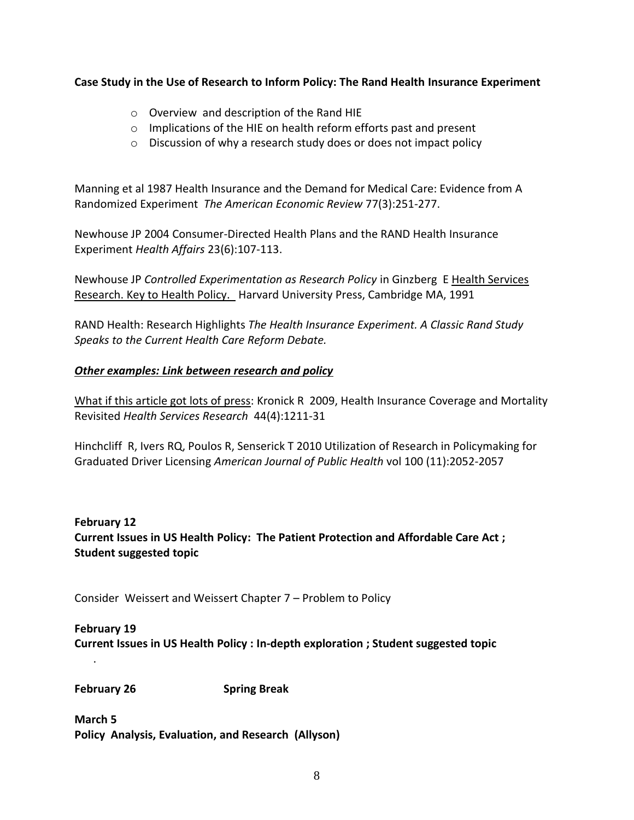#### **Case Study in the Use of Research to Inform Policy: The Rand Health Insurance Experiment**

- o Overview and description of the Rand HIE
- o Implications of the HIE on health reform efforts past and present
- o Discussion of why a research study does or does not impact policy

Manning et al 1987 Health Insurance and the Demand for Medical Care: Evidence from A Randomized Experiment *The American Economic Review* 77(3):251-277.

Newhouse JP 2004 Consumer-Directed Health Plans and the RAND Health Insurance Experiment *Health Affairs* 23(6):107-113.

Newhouse JP *Controlled Experimentation as Research Policy* in Ginzberg E Health Services Research. Key to Health Policy. Harvard University Press, Cambridge MA, 1991

RAND Health: Research Highlights *The Health Insurance Experiment. A Classic Rand Study Speaks to the Current Health Care Reform Debate.* 

### *Other examples: Link between research and policy*

What if this article got lots of press: Kronick R 2009, Health Insurance Coverage and Mortality Revisited *Health Services Research* 44(4):1211-31

Hinchcliff R, Ivers RQ, Poulos R, Senserick T 2010 Utilization of Research in Policymaking for Graduated Driver Licensing *American Journal of Public Health* vol 100 (11):2052-2057

# **February 12 Current Issues in US Health Policy: The Patient Protection and Affordable Care Act ; Student suggested topic**

Consider Weissert and Weissert Chapter 7 – Problem to Policy

### **February 19**

**Current Issues in US Health Policy : In-depth exploration ; Student suggested topic** 

**February 26 Spring Break** 

.

**March 5 Policy Analysis, Evaluation, and Research (Allyson)**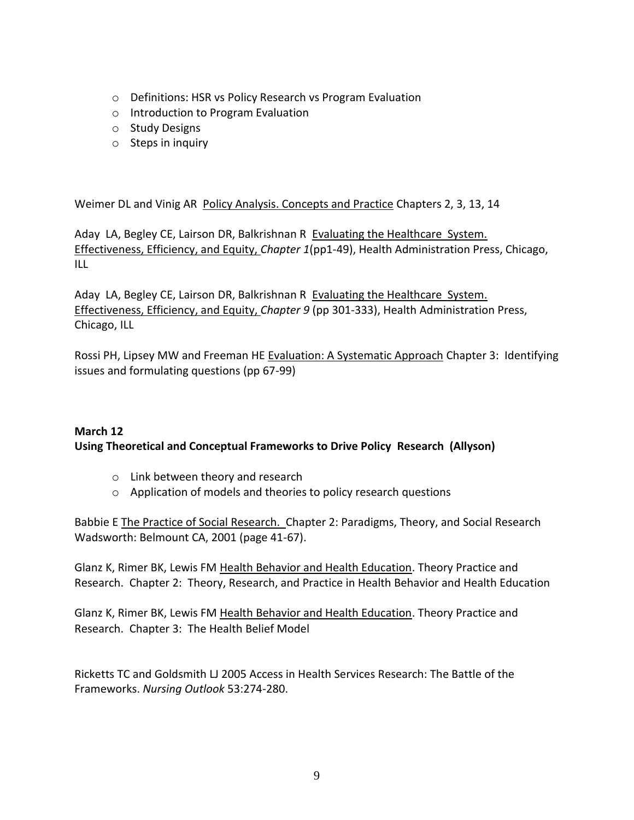- o Definitions: HSR vs Policy Research vs Program Evaluation
- o Introduction to Program Evaluation
- o Study Designs
- $\circ$  Steps in inquiry

Weimer DL and Vinig AR Policy Analysis. Concepts and Practice Chapters 2, 3, 13, 14

Aday LA, Begley CE, Lairson DR, Balkrishnan R Evaluating the Healthcare System. Effectiveness, Efficiency, and Equity, *Chapter 1*(pp1-49), Health Administration Press, Chicago, ILL

Aday LA, Begley CE, Lairson DR, Balkrishnan R Evaluating the Healthcare System. Effectiveness, Efficiency, and Equity, *Chapter 9* (pp 301-333), Health Administration Press, Chicago, ILL

Rossi PH, Lipsey MW and Freeman HE Evaluation: A Systematic Approach Chapter 3: Identifying issues and formulating questions (pp 67-99)

# **March 12 Using Theoretical and Conceptual Frameworks to Drive Policy Research (Allyson)**

- o Link between theory and research
- o Application of models and theories to policy research questions

Babbie E The Practice of Social Research. Chapter 2: Paradigms, Theory, and Social Research Wadsworth: Belmount CA, 2001 (page 41-67).

Glanz K, Rimer BK, Lewis FM Health Behavior and Health Education. Theory Practice and Research. Chapter 2: Theory, Research, and Practice in Health Behavior and Health Education

Glanz K, Rimer BK, Lewis FM Health Behavior and Health Education. Theory Practice and Research. Chapter 3: The Health Belief Model

Ricketts TC and Goldsmith LJ 2005 Access in Health Services Research: The Battle of the Frameworks. *Nursing Outlook* 53:274-280.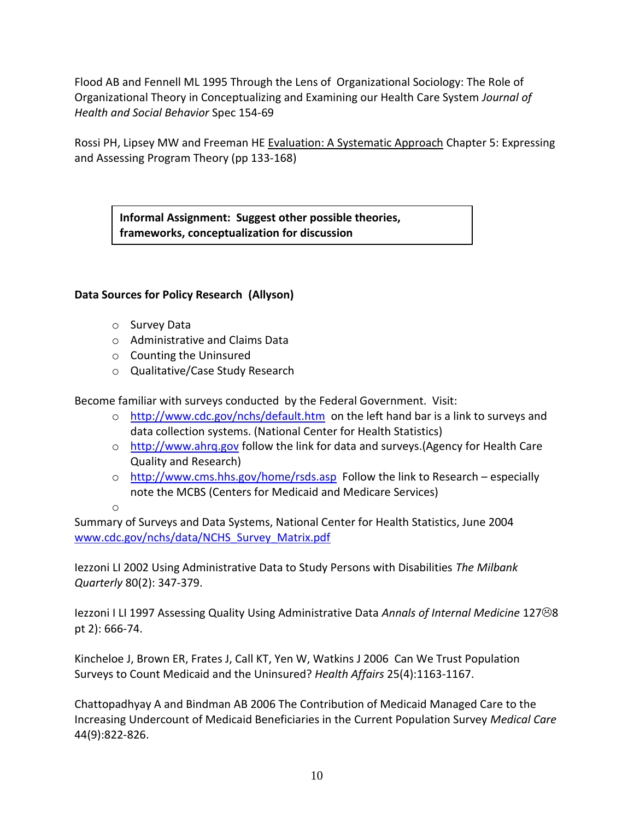Flood AB and Fennell ML 1995 Through the Lens of Organizational Sociology: The Role of Organizational Theory in Conceptualizing and Examining our Health Care System *Journal of Health and Social Behavior* Spec 154-69

Rossi PH, Lipsey MW and Freeman HE Evaluation: A Systematic Approach Chapter 5: Expressing and Assessing Program Theory (pp 133-168)

**Informal Assignment: Suggest other possible theories, frameworks, conceptualization for discussion**

### **Data Sources for Policy Research (Allyson)**

- o Survey Data
- o Administrative and Claims Data
- o Counting the Uninsured
- o Qualitative/Case Study Research

Become familiar with surveys conducted by the Federal Government. Visit:

- o <http://www.cdc.gov/nchs/default.htm>on the left hand bar is a link to surveys and data collection systems. (National Center for Health Statistics)
- o [http://www.ahrq.gov](http://www.ahrq.gov/) follow the link for data and surveys. (Agency for Health Care Quality and Research)
- o <http://www.cms.hhs.gov/home/rsds.asp>Follow the link to Research especially note the MCBS (Centers for Medicaid and Medicare Services)

o

Summary of Surveys and Data Systems, National Center for Health Statistics, June 2004 [www.cdc.gov/nchs/data/NCHS\\_Survey\\_Matrix.pdf](http://www.cdc.gov/nchs/data/NCHS_Survey_Matrix.pdf)

Iezzoni LI 2002 Using Administrative Data to Study Persons with Disabilities *The Milbank Quarterly* 80(2): 347-379.

Iezzoni I LI 1997 Assessing Quality Using Administrative Data *Annals of Internal Medicine* 1278 pt 2): 666-74.

Kincheloe J, Brown ER, Frates J, Call KT, Yen W, Watkins J 2006 Can We Trust Population Surveys to Count Medicaid and the Uninsured? *Health Affairs* 25(4):1163-1167.

Chattopadhyay A and Bindman AB 2006 The Contribution of Medicaid Managed Care to the Increasing Undercount of Medicaid Beneficiaries in the Current Population Survey *Medical Care* 44(9):822-826.